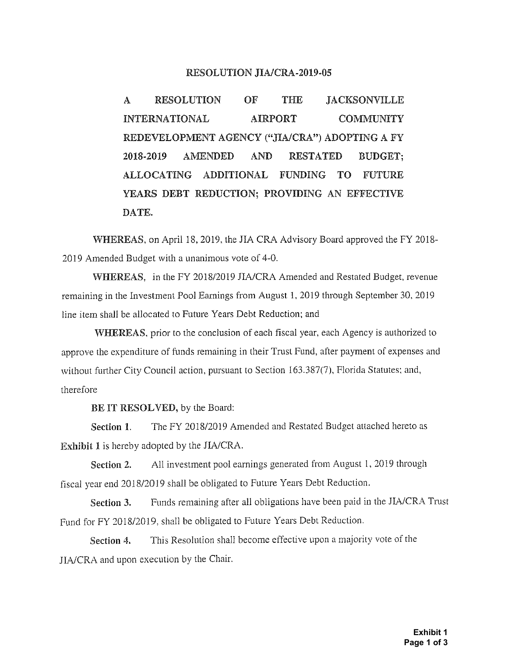## **RESOLUTION JIA/CRA-2019-05**

**A RESOLUTION OF THE JACKSONVILLE INTERNATIONAL AIRPORT COMMUNITY** REDEVELOPMENT AGENCY ("JIA/CRA") ADOPTING A FY 2018-2019 AMENDED AND RESTATED BUDGET; **ALLOCATING ADDITIONAL FUNDING TO FUTURE YEARS DEBT REDUCTION; PROVIDING AN EFFECTIVE DATE.**

**WHEREAS,** on April 18, 2019, the JIA CRA Advisory Board approved the FY 2018- 2019 Amended Budget with a unanimous vote of 4-0.

**WHEREAS,** in the FY 2018/2019 JIA/CRA Amended and Restated Budget, revenue remaining in the Investment Pool Earnings from August 1, 2019 through September 30, 2019 line item shall be allocated to Future Years Debt Reduction; and

**WHEREAS,** prior to the conclusion of each fiscal year, each Agency is authorized to approve the expenditure of funds remaining in their Trust Fund, after payment of expenses and without further City Council action, pursuant to Section 163.387(7), Florida Statutes; and, therefore

**BE IT RESOLVED,** by the Board:

**Section** 1. The FY 2018/2019 Amended and Restated Budget attached hereto as **Exhibit 1** is hereby adopted by the JIA/CRA.

**Section** 2. All investment pool earnings generated from August 1, 2019 through fiscal year end 2018/2019 shall be obligated to Future Years Debt Reduction,

**Section** 3. Funds remaining after all obligations have been paid in the JIA/CRA Trust Fund for FY 2018/2019, shall be obligated to Future Years Debt Reduction.

**Section** 4. This Resolution shall become effective upon a majority vote of the JIA/CRA and upon execution by the Chair.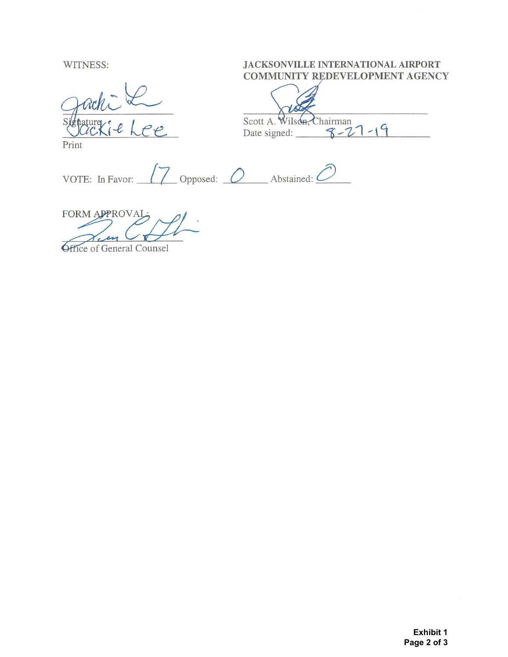WITNESS:

Print

## **JACKSONVILLE INTERNATIONAL AIRPORT COMMUNITY REDEVELOPMENT AGENCY**

scott A. Wilson, Chairman 7 - 19

VOTE: In Favor: **7** Opposed: *O* Abstained: **4** 

FORM APPROVAL-

**Office of General Counsel**